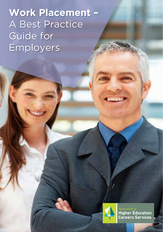# **Work Placement –** A Best Practice Guide for Employers



**Higher Education**<br>Careers Services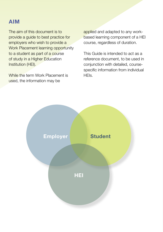#### **Aim**

The aim of this document is to provide a guide to best practice for employers who wish to provide a Work Placement learning opportunity to a student as part of a course of study in a Higher Education Institution (HEI).

While the term Work Placement is used, the information may be

applied and adapted to any workbased learning component of a HEI course, regardless of duration.

This Guide is intended to act as a reference document, to be used in conjunction with detailed, coursespecific information from individual HEIs.

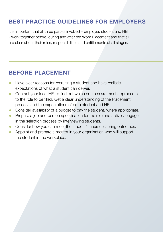# **Best Practice Guidelines for Employers**

It is important that all three parties involved – employer, student and HEI - work together before, during and after the Work Placement and that all are clear about their roles, responsibilities and entitlements at all stages.

#### **Before Placement**

- Have clear reasons for recruiting a student and have realistic expectations of what a student can deliver.
- Contact your local HEI to find out which courses are most appropriate to the role to be filled. Get a clear understanding of the Placement process and the expectations of both student and HEI.
- Consider availability of a budget to pay the student, where appropriate.
- Prepare a job and person specification for the role and actively engage in the selection process by interviewing students.
- Consider how you can meet the student's course learning outcomes.
- Appoint and prepare a mentor in your organisation who will support the student in the workplace.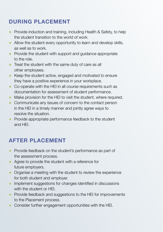# **During Placement**

- Provide induction and training, including Health & Safety, to help the student transition to the world of work.
- Allow the student every opportunity to learn and develop skills, as well as to work.
- Provide the student with support and guidance appropriate to the role.
- Treat the student with the same duty of care as all other employees.
- Keep the student active, engaged and motivated to ensure they have a positive experience in your workplace.
- Co-operate with the HEI in all course requirements such as documentation for assessment of student performance.
- Make provision for the HEI to visit the student, where required.
- Communicate any issues of concern to the contact person in the HEI in a timely manner and jointly agree ways to resolve the situation.
- Provide appropriate performance feedback to the student and HEI.

## **After Placement**

- Provide feedback on the student's performance as part of the assessment process.
- Agree to provide the student with a reference for future employers.
- Organise a meeting with the student to review the experience for both student and employer.
- Implement suggestions for changes identified in discussions with the student or HEI.
- Provide feedback and suggestions to the HEI for improvements to the Placement process.
- Consider further engagement opportunities with the HEI.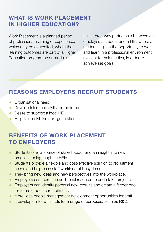## **WHAT IS WORK PLACEMENT IN HIGHER EDUCATION?**

Work Placement is a planned period of professional learning or experience, which may be accredited, where the learning outcomes are part of a Higher Education programme or module.

It is a three-way partnership between an employer, a student and a HEI, where a student is given the opportunity to work and learn in a professional environment relevant to their studies, in order to achieve set goals.

# **Reasons Employers Recruit Students**

- Organisational need.
- Develop talent and skills for the future.
- Desire to support a local HEI.
- Help to up-skill the next generation.

#### **Benefits of Work Placement to Employers**

- Students offer a source of skilled labour and an insight into new practices being taught in HEIs.
- Students provide a flexible and cost-effective solution to recruitment needs and help ease staff workload at busy times.
- They bring new ideas and new perspectives into the workplace.
- Employers can recruit an additional resource to undertake projects.
- Employers can identify potential new recruits and create a feeder pool for future graduate recruitment.
- It provides people management development opportunities for staff.
- It develops links with HEIs for a range of purposes, such as R&D.